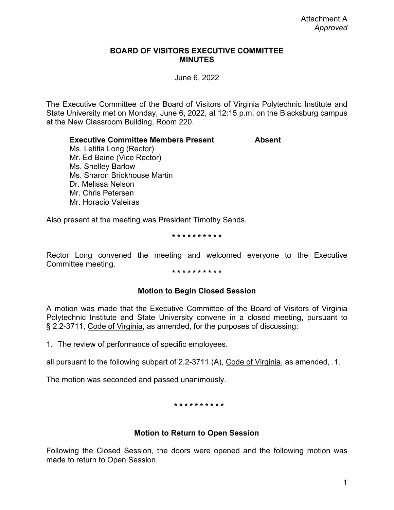## **BOARD OF VISITORS EXECUTIVE COMMITTEE MINUTES**

June 6, 2022

The Executive Committee of the Board of Visitors of Virginia Polytechnic Institute and State University met on Monday, June 6, 2022, at 12:15 p.m. on the Blacksburg campus at the New Classroom Building, Room 220.

**Executive Committee Members Present Absent**

Ms. Letitia Long (Rector) Mr. Ed Baine (Vice Rector) Ms. Shelley Barlow Ms. Sharon Brickhouse Martin Dr. Melissa Nelson Mr. Chris Petersen Mr. Horacio Valeiras

Also present at the meeting was President Timothy Sands.

### **\* \* \* \* \* \* \* \* \* \***

Rector Long convened the meeting and welcomed everyone to the Executive Committee meeting.

### **\* \* \* \* \* \* \* \* \* \***

## **Motion to Begin Closed Session**

A motion was made that the Executive Committee of the Board of Visitors of Virginia Polytechnic Institute and State University convene in a closed meeting, pursuant to § 2.2-3711, Code of Virginia, as amended, for the purposes of discussing:

1. The review of performance of specific employees.

all pursuant to the following subpart of 2.2-3711 (A), Code of Virginia, as amended, .1.

The motion was seconded and passed unanimously.

### **\* \* \* \* \* \* \* \* \* \***

# **Motion to Return to Open Session**

Following the Closed Session, the doors were opened and the following motion was made to return to Open Session.